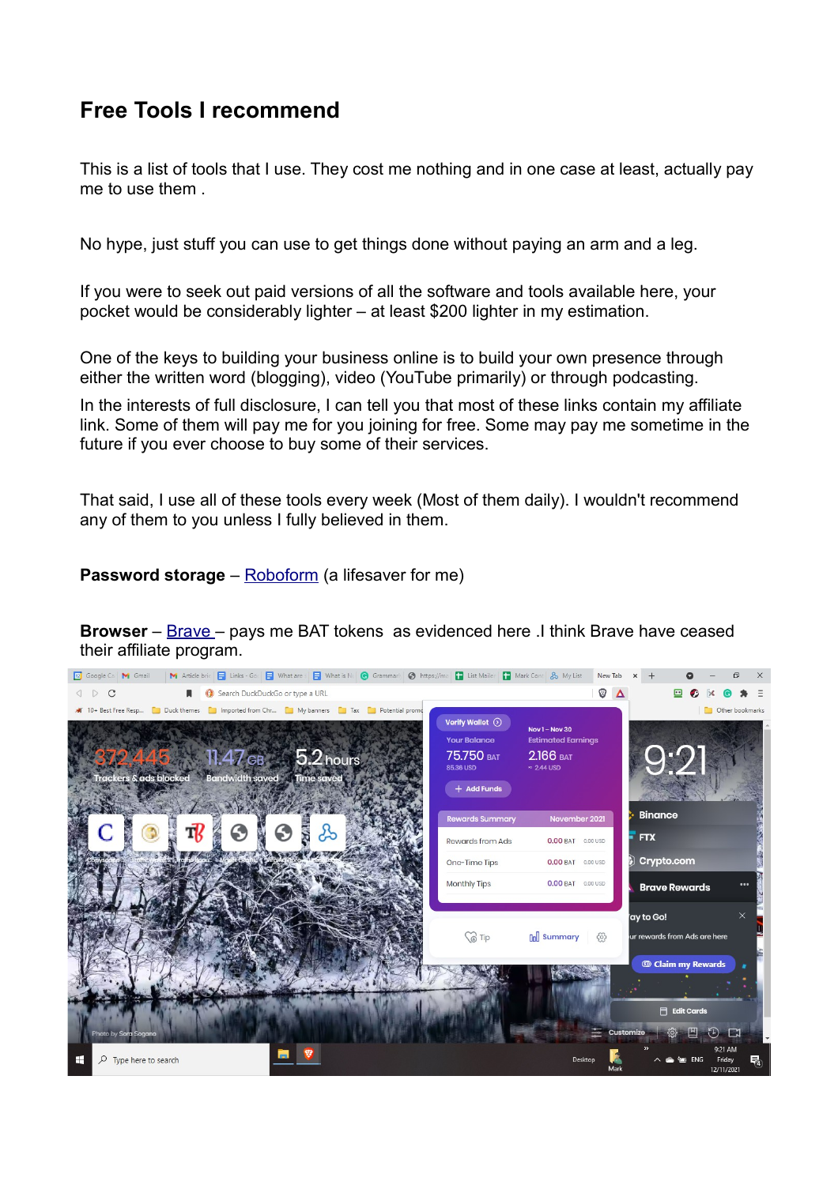## **Free Tools I recommend**

This is a list of tools that I use. They cost me nothing and in one case at least, actually pay me to use them .

No hype, just stuff you can use to get things done without paying an arm and a leg.

If you were to seek out paid versions of all the software and tools available here, your pocket would be considerably lighter – at least \$200 lighter in my estimation.

One of the keys to building your business online is to build your own presence through either the written word (blogging), video (YouTube primarily) or through podcasting.

In the interests of full disclosure, I can tell you that most of these links contain my affiliate link. Some of them will pay me for you joining for free. Some may pay me sometime in the future if you ever choose to buy some of their services.

That said, I use all of these tools every week (Most of them daily). I wouldn't recommend any of them to you unless I fully believed in them.

**Password storage** – [Roboform](https://www.roboform.com/form-filler?affid=mwh99) (a lifesaver for me)

**Browser** – [Brave –](https://brave.com/download/) pays me BAT tokens as evidenced here .I think Brave have ceased their affiliate program.

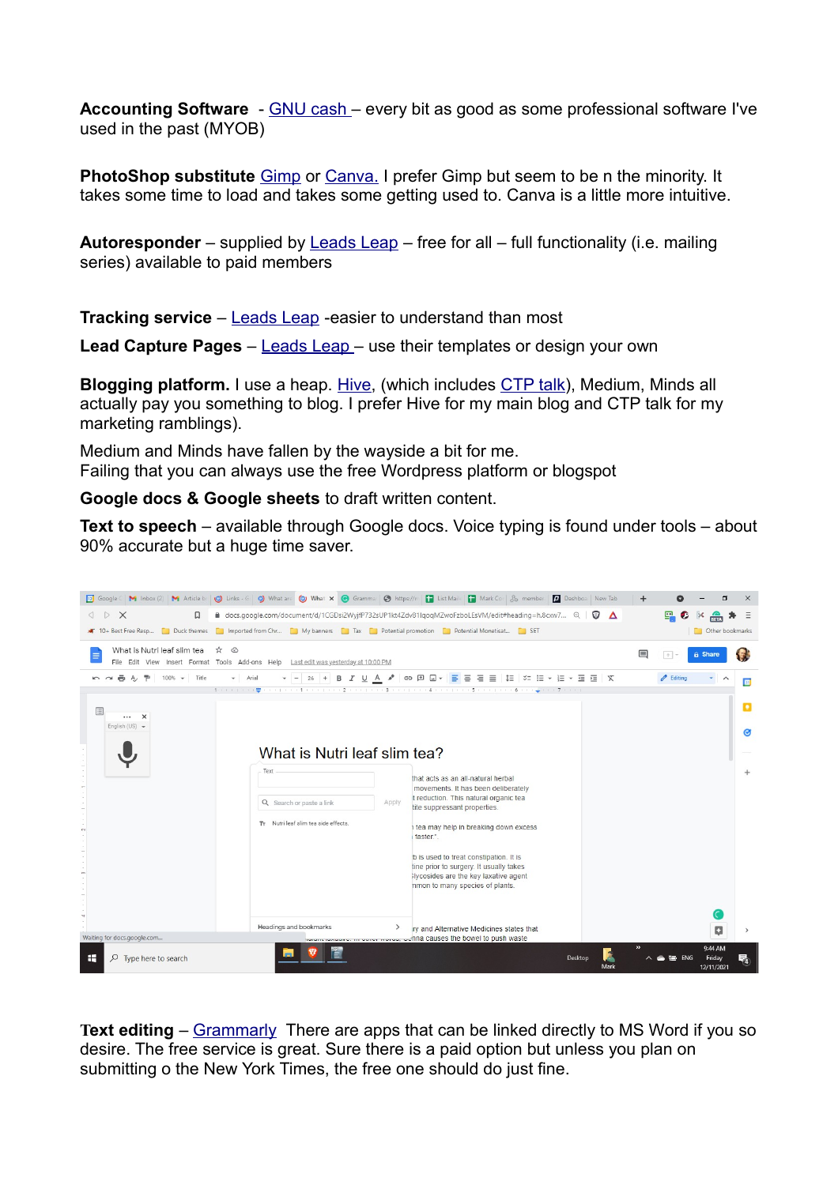**Accounting Software** - [GNU cash –](https://gnucash.org/download.phtml) every bit as good as some professional software I've used in the past (MYOB)

**PhotoShop substitute** [Gimp](https://www.gimp.org/downloads/) or [Canva.](http://canva.com/) I prefer Gimp but seem to be n the minority. It takes some time to load and takes some getting used to. Canva is a little more intuitive.

**Autoresponder** – supplied by [Leads Leap](https://sendsteed.com/?r=sentinel) – free for all – full functionality (i.e. mailing series) available to paid members

**Tracking service** – [Leads Leap](https://leadsleap.com/therealtracker/?r=sentinel) -easier to understand than most

**Lead Capture Pages** – [Leads Leap –](https://leadsleap.com/socialreview/leadsleap.com?r=sentinel) use their templates or design your own

**Blogging platform.** I use a heap. [Hive,](https://thehiveguide.com/hodgetts) (which includes [CTP talk\)](https://startearning.today/hodgetts), Medium, Minds all actually pay you something to blog. I prefer Hive for my main blog and CTP talk for my marketing ramblings).

Medium and Minds have fallen by the wayside a bit for me. Failing that you can always use the free Wordpress platform or blogspot

**Google docs & Google sheets** to draft written content.

**Text to speech** – available through Google docs. Voice typing is found under tools – about 90% accurate but a huge time saver.



**Text editing** – [Grammarly](http://grammarly.com/) There are apps that can be linked directly to MS Word if you so desire. The free service is great. Sure there is a paid option but unless you plan on submitting o the New York Times, the free one should do just fine.